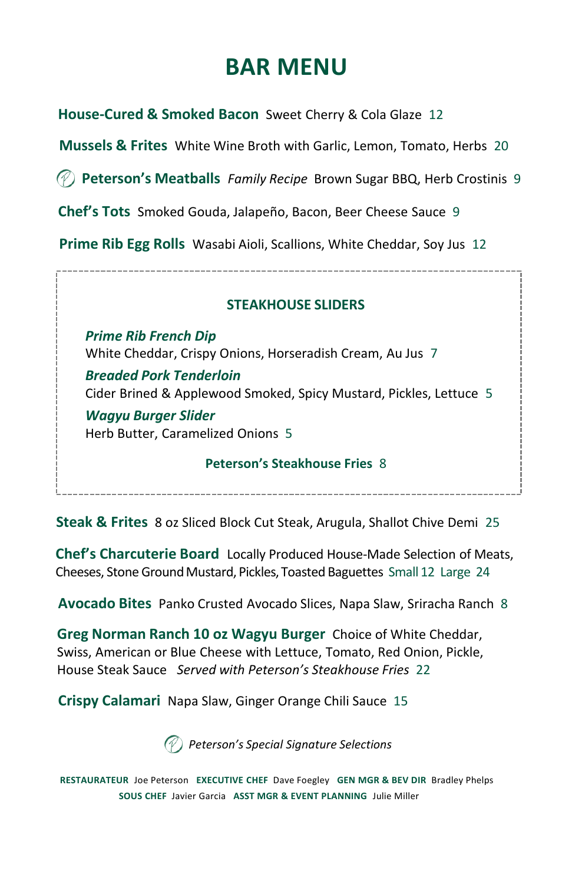# **BAR MENU**

**House-Cured & Smoked Bacon** Sweet Cherry & Cola Glaze 12

**Mussels & Frites** White Wine Broth with Garlic, Lemon, Tomato, Herbs 20

**Peterson's Meatballs** *Family Recipe* Brown Sugar BBQ, Herb Crostinis 9

**Chef's Tots** Smoked Gouda, Jalapeño, Bacon, Beer Cheese Sauce 9

**Prime Rib Egg Rolls** Wasabi Aioli, Scallions, White Cheddar, Soy Jus 12

#### **STEAKHOUSE SLIDERS**

*Prime Rib French Dip*  White Cheddar, Crispy Onions, Horseradish Cream, Au Jus 7 *Breaded Pork Tenderloin* Cider Brined & Applewood Smoked, Spicy Mustard, Pickles, Lettuce 5 *Wagyu Burger Slider* Herb Butter, Caramelized Onions 5

#### **Peterson's Steakhouse Fries** 8

**Steak & Frites** 8 oz Sliced Block Cut Steak, Arugula, Shallot Chive Demi 25

**Chef's Charcuterie Board** Locally Produced House-Made Selection of Meats, Cheeses, Stone Ground Mustard, Pickles, Toasted Baguettes Small 12 Large 24

**Avocado Bites** Panko Crusted Avocado Slices, Napa Slaw, Sriracha Ranch 8

**Greg Norman Ranch 10 oz Wagyu Burger** Choice of White Cheddar, Swiss, American or Blue Cheese with Lettuce, Tomato, Red Onion, Pickle, House Steak Sauce *Served with Peterson's Steakhouse Fries* 22

**Crispy Calamari** Napa Slaw, Ginger Orange Chili Sauce 15

*Peterson's Special Signature Selections*

**RESTAURATEUR** Joe Peterson **EXECUTIVE CHEF** Dave Foegley **GEN MGR & BEV DIR** Bradley Phelps **SOUS CHEF** Javier Garcia **ASST MGR & EVENT PLANNING** Julie Miller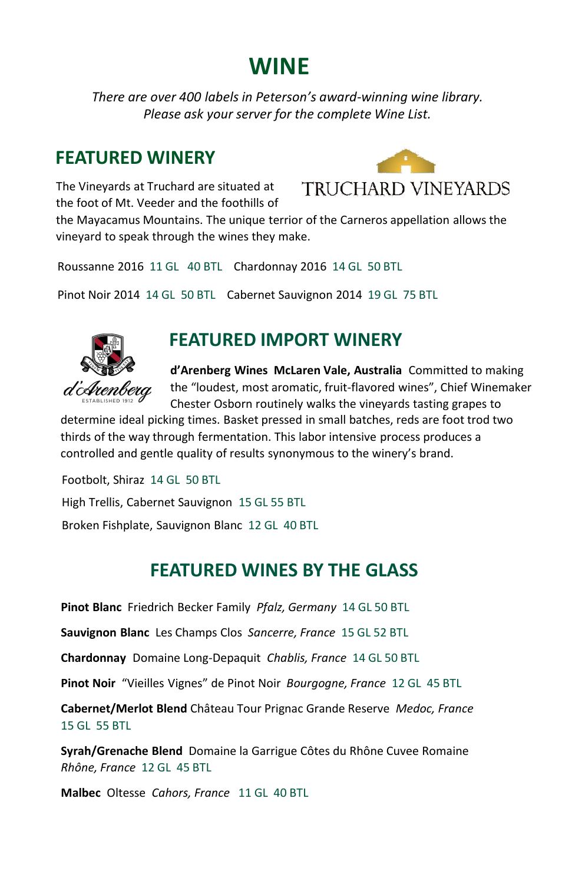## **WINE**

*There are over 400 labels in Peterson's award-winning wine library. Please ask your server for the complete Wine List.*

### **FEATURED WINERY**

The Vineyards at Truchard are situated at the foot of Mt. Veeder and the foothills of



the Mayacamus Mountains. The unique terrior of the Carneros appellation allows the vineyard to speak through the wines they make.

Roussanne 2016 11 GL 40 BTL Chardonnay 2016 14 GL 50 BTL

Pinot Noir 2014 14 GL 50 BTL Cabernet Sauvignon 2014 19 GL 75 BTL



### **FEATURED IMPORT WINERY**

**d'Arenberg Wines McLaren Vale, Australia** Committed to making the "loudest, most aromatic, fruit-flavored wines", Chief Winemaker Chester Osborn routinely walks the vineyards tasting grapes to

determine ideal picking times. Basket pressed in small batches, reds are foot trod two thirds of the way through fermentation. This labor intensive process produces a controlled and gentle quality of results synonymous to the winery's brand.

Footbolt, Shiraz 14 GL 50 BTL High Trellis, Cabernet Sauvignon 15 GL 55 BTL Broken Fishplate, Sauvignon Blanc 12 GL 40 BTL

### **FEATURED WINES BY THE GLASS**

**Pinot Blanc** Friedrich Becker Family *Pfalz, Germany* 14 GL 50 BTL

**Sauvignon Blanc** Les Champs Clos *Sancerre, France* 15 GL 52 BTL

**Chardonnay** Domaine Long-Depaquit *Chablis, France* 14 GL 50 BTL

**Pinot Noir** "Vieilles Vignes" de Pinot Noir *Bourgogne, France* 12 GL 45 BTL

**Cabernet/Merlot Blend** Château Tour Prignac Grande Reserve *Medoc, France* 15 GL 55 BTL

**Syrah/Grenache Blend** Domaine la Garrigue Côtes du Rhône Cuvee Romaine *Rhône, France* 12 GL 45 BTL

**Malbec** Oltesse *Cahors, France* 11 GL 40 BTL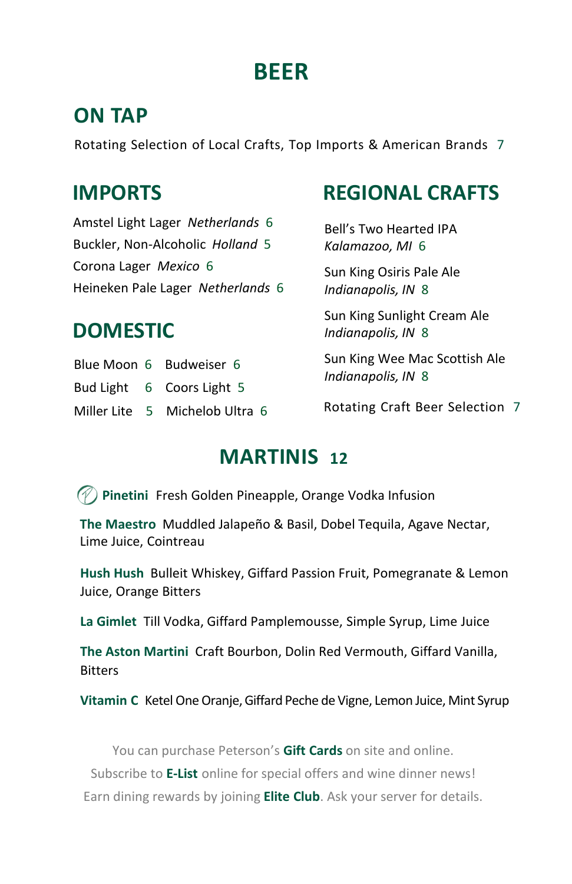# **BEER**

## **ON TAP**

Rotating Selection of Local Crafts, Top Imports & American Brands 7

## **IMPORTS**

Amstel Light Lager *Netherlands* 6 Buckler, Non-Alcoholic *Holland* 5 Corona Lager *Mexico* 6 Heineken Pale Lager *Netherlands* 6

## **DOMESTIC**

Blue Moon 6 Budweiser 6 Bud Light 6 Coors Light 5 Miller Lite 5 Michelob Ultra 6

## **REGIONAL CRAFTS**

Bell's Two Hearted IPA *Kalamazoo, MI* 6

Sun King Osiris Pale Ale *Indianapolis, IN* 8

Sun King Sunlight Cream Ale *Indianapolis, IN* 8

Sun King Wee Mac Scottish Ale *Indianapolis, IN* 8

Rotating Craft Beer Selection 7

## **MARTINIS 12**

**Pinetini** Fresh Golden Pineapple, Orange Vodka Infusion

**The Maestro** Muddled Jalapeño & Basil, Dobel Tequila, Agave Nectar, Lime Juice, Cointreau

**Hush Hush** Bulleit Whiskey, Giffard Passion Fruit, Pomegranate & Lemon Juice, Orange Bitters

**La Gimlet** Till Vodka, Giffard Pamplemousse, Simple Syrup, Lime Juice

**The Aston Martini** Craft Bourbon, Dolin Red Vermouth, Giffard Vanilla, **Bitters** 

**Vitamin C** Ketel One Oranje, Giffard Peche de Vigne, Lemon Juice, Mint Syrup

You can purchase Peterson's **Gift Cards** on site and online.

Subscribe to **E-List** online for special offers and wine dinner news!

Earn dining rewards by joining **Elite Club**. Ask your server for details.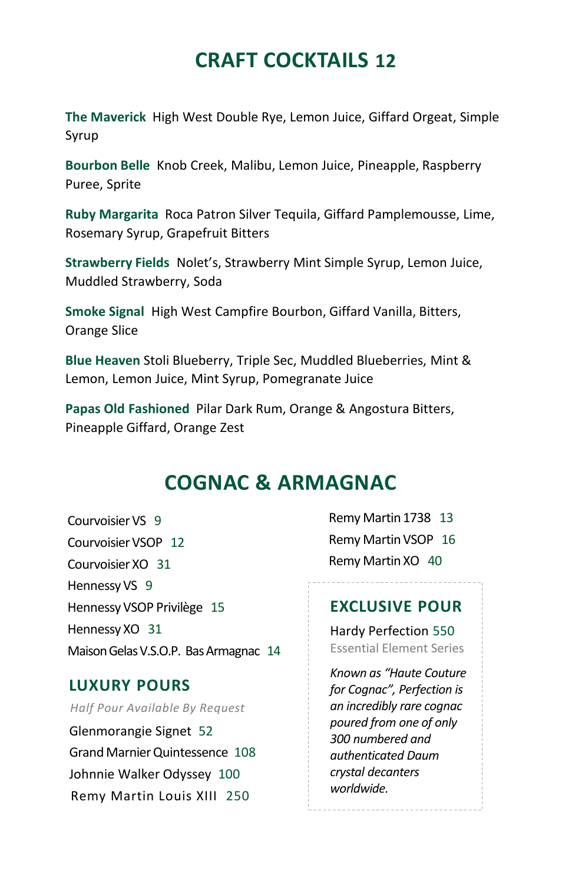## **CRAFT COCKTAILS 12**

**The Maverick** High West Double Rye, Lemon Juice, Giffard Orgeat, Simple Syrup

**Bourbon Belle** Knob Creek, Malibu, Lemon Juice, Pineapple, Raspberry Puree, Sprite

**Ruby Margarita** Roca Patron Silver Tequila, Giffard Pamplemousse, Lime, Rosemary Syrup, Grapefruit Bitters

**Strawberry Fields** Nolet's, Strawberry Mint Simple Syrup, Lemon Juice, Muddled Strawberry, Soda

**Smoke Signal** High West Campfire Bourbon, Giffard Vanilla, Bitters, Orange Slice

**Blue Heaven** Stoli Blueberry, Triple Sec, Muddled Blueberries, Mint & Lemon, Lemon Juice, Mint Syrup, Pomegranate Juice

**Papas Old Fashioned** Pilar Dark Rum, Orange & Angostura Bitters, Pineapple Giffard, Orange Zest

### **COGNAC & ARMAGNAC**

Courvoisier VS 9 Courvoisier VSOP 12 Courvoisier XO 31 Hennessy VS 9 Hennessy VSOP Privilège 15 Hennessy XO 31 Maison Gelas V.S.O.P. Bas Armagnac 14

#### **LUXURY POURS**

*Half Pour Available By Request*

Glenmorangie Signet 52 Grand Marnier Quintessence 108 Johnnie Walker Odyssey 100 Remy Martin Louis XIII 250

Remy Martin 1738 13 Remy Martin VSOP 16 Remy Martin XO 40

#### **EXCLUSIVE POUR**

Hardy Perfection 550 Essential Element Series

*Known as "Haute Couture for Cognac", Perfection is an incredibly rare cognac poured from one of only 300 numbered and authenticated Daum crystal decanters worldwide.*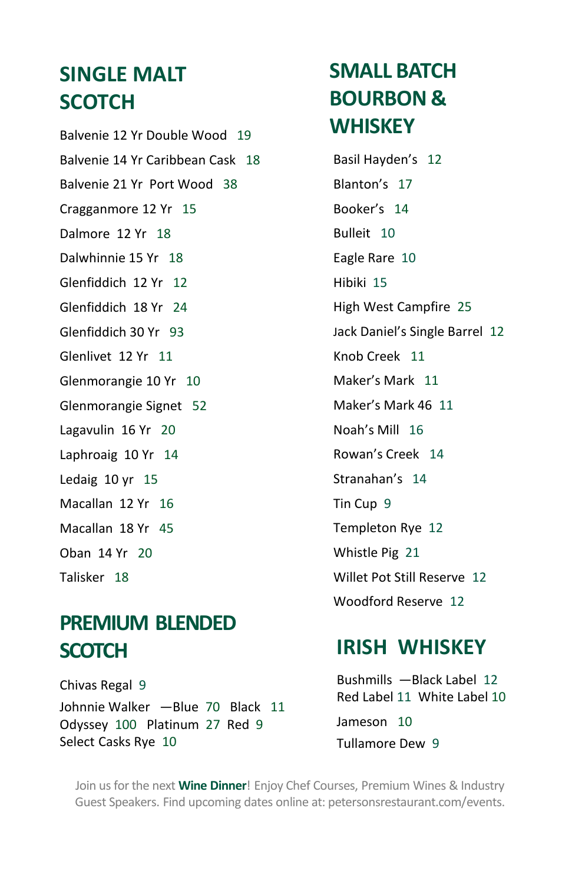## **SINGLE MALT SCOTCH**

Balvenie 12 Yr Double Wood 19 Balvenie 14 Yr Caribbean Cask 18 Balvenie 21 Yr Port Wood 38 Cragganmore 12 Yr 15 Dalmore 12 Yr 18 Dalwhinnie 15 Yr 18 Glenfiddich 12 Yr 12 Glenfiddich 18 Yr 24 Glenfiddich 30 Yr 93 Glenlivet 12 Yr 11 Glenmorangie 10 Yr 10 Glenmorangie Signet 52 Lagavulin 16 Yr 20 Laphroaig 10 Yr 14 Ledaig 10 yr 15 Macallan 12 Yr 16 Macallan 18 Yr 45 Oban 14 Yr 20

Talisker 18

# **PREMIUM BLENDED SCOTCH**

Chivas Regal 9 Johnnie Walker ―Blue 70 Black 11 Odyssey 100 Platinum 27 Red 9 Select Casks Rye 10

# **SMALL BATCH BOURBON & WHISKEY**

Basil Hayden's 12 Blanton's 17 Booker's 14 Bulleit 10 Eagle Rare 10 Hibiki 15 High West Campfire 25 Jack Daniel's Single Barrel 12 Knob Creek 11 Maker's Mark 11 Maker's Mark 46 11 Noah's Mill 16 Rowan's Creek 14 Stranahan's 14 Tin Cup 9 Templeton Rye 12 Whistle Pig 21 Willet Pot Still Reserve 12 Woodford Reserve 12

## **IRISH WHISKEY**

Bushmills ―Black Label 12 Red Label 11 White Label 10 Jameson 10 Tullamore Dew 9

Join us for the next **Wine Dinner**! Enjoy Chef Courses, Premium Wines & Industry Guest Speakers. Find upcoming dates online at: petersonsrestaurant.com/events.